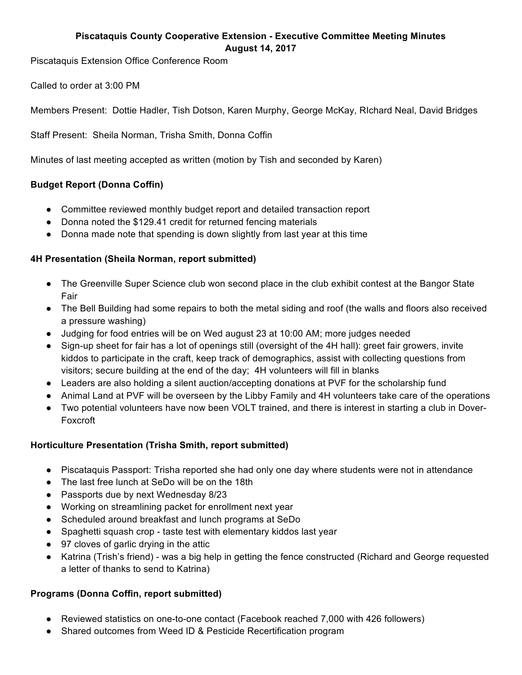# **Piscataquis County Cooperative Extension - Executive Committee Meeting Minutes August 14, 2017**

Piscataquis Extension Office Conference Room

Called to order at 3:00 PM

Members Present: Dottie Hadler, Tish Dotson, Karen Murphy, George McKay, RIchard Neal, David Bridges

Staff Present: Sheila Norman, Trisha Smith, Donna Coffin

Minutes of last meeting accepted as written (motion by Tish and seconded by Karen)

## **Budget Report (Donna Coffin)**

- Committee reviewed monthly budget report and detailed transaction report
- Donna noted the \$129.41 credit for returned fencing materials
- Donna made note that spending is down slightly from last year at this time

#### **4H Presentation (Sheila Norman, report submitted)**

- The Greenville Super Science club won second place in the club exhibit contest at the Bangor State Fair
- The Bell Building had some repairs to both the metal siding and roof (the walls and floors also received a pressure washing)
- Judging for food entries will be on Wed august 23 at 10:00 AM; more judges needed
- Sign-up sheet for fair has a lot of openings still (oversight of the 4H hall): greet fair growers, invite kiddos to participate in the craft, keep track of demographics, assist with collecting questions from visitors; secure building at the end of the day; 4H volunteers will fill in blanks
- Leaders are also holding a silent auction/accepting donations at PVF for the scholarship fund
- Animal Land at PVF will be overseen by the Libby Family and 4H volunteers take care of the operations
- Two potential volunteers have now been VOLT trained, and there is interest in starting a club in Dover-Foxcroft

## **Horticulture Presentation (Trisha Smith, report submitted)**

- Piscataquis Passport: Trisha reported she had only one day where students were not in attendance
- The last free lunch at SeDo will be on the 18th
- Passports due by next Wednesday 8/23
- Working on streamlining packet for enrollment next year
- Scheduled around breakfast and lunch programs at SeDo
- Spaghetti squash crop taste test with elementary kiddos last year
- 97 cloves of garlic drying in the attic
- Katrina (Trish's friend) was a big help in getting the fence constructed (Richard and George requested a letter of thanks to send to Katrina)

## **Programs (Donna Coffin, report submitted)**

- Reviewed statistics on one-to-one contact (Facebook reached 7,000 with 426 followers)
- Shared outcomes from Weed ID & Pesticide Recertification program